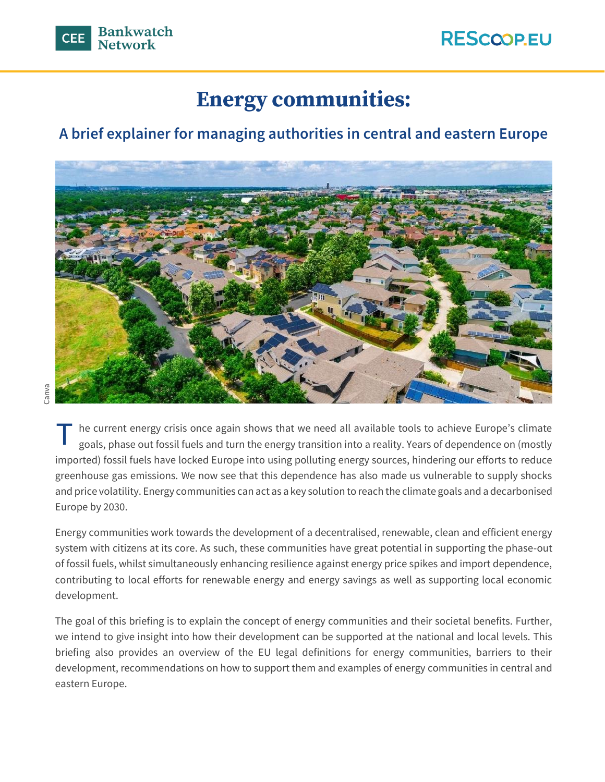# **Energy communities:**

## **A brief explainer for managing authorities in central and eastern Europe**



Canva

he current energy crisis once again shows that we need all available tools to achieve Europe's climate goals, phase out fossil fuels and turn the energy transition into a reality. Years of dependence on (mostly imported) fossil fuels have locked Europe into using polluting energy sources, hindering our efforts to reduce greenhouse gas emissions. We now see that this dependence has also made us vulnerable to supply shocks and price volatility. Energy communities can act as a key solution to reach the climate goals and a decarbonised Europe by 2030. T

Energy communities work towards the development of a decentralised, renewable, clean and efficient energy system with citizens at its core. As such, these communities have great potential in supporting the phase-out of fossil fuels, whilst simultaneously enhancing resilience against energy price spikes and import dependence, contributing to local efforts for renewable energy and energy savings as well as supporting local economic development.

The goal of this briefing is to explain the concept of energy communities and their societal benefits. Further, we intend to give insight into how their development can be supported at the national and local levels. This briefing also provides an overview of the EU legal definitions for energy communities, barriers to their development, recommendations on how to support them and examples of energy communities in central and eastern Europe.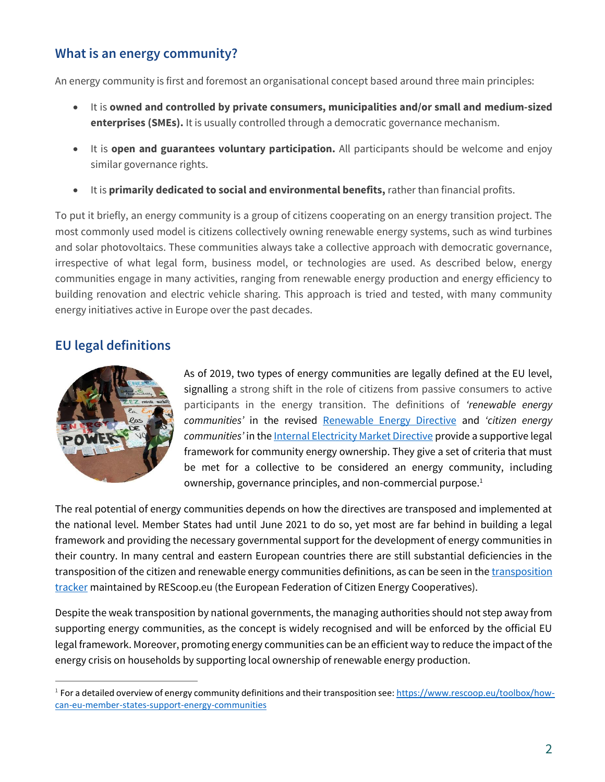### **What is an energy community?**

An energy community is first and foremost an organisational concept based around three main principles:

- It is **owned and controlled by private consumers, municipalities and/or small and medium-sized enterprises (SMEs).** It is usually controlled through a democratic governance mechanism.
- It is **open and guarantees voluntary participation.** All participants should be welcome and enjoy similar governance rights.
- It is **primarily dedicated to social and environmental benefits,** rather than financial profits.

To put it briefly, an energy community is a group of citizens cooperating on an energy transition project. The most commonly used model is citizens collectively owning renewable energy systems, such as wind turbines and solar photovoltaics. These communities always take a collective approach with democratic governance, irrespective of what legal form, business model, or technologies are used. As described below, energy communities engage in many activities, ranging from renewable energy production and energy efficiency to building renovation and electric vehicle sharing. This approach is tried and tested, with many community energy initiatives active in Europe over the past decades.

### **EU legal definitions**



As of 2019, two types of energy communities are legally defined at the EU level, signalling a strong shift in the role of citizens from passive consumers to active participants in the energy transition. The definitions of *'renewable energy communities'* in the revised [Renewable Energy Directive](https://eur-lex.europa.eu/legal-content/EN/TXT/PDF/?uri=CELEX:32018L2001&from=EN) and *'citizen energy communities'* in th[e Internal E](https://eur-lex.europa.eu/legal-content/EN/TXT/PDF/?uri=CELEX:32019L0944&from=EN)lectricity Market Directive provide a supportive legal framework for community energy ownership. They give a set of criteria that must be met for a collective to be considered an energy community, including ownership, governance principles, and non-commercial purpose.<sup>1</sup>

The real potential of energy communities depends on how the directives are transposed and implemented at the national level. Member States had until June 2021 to do so, yet most are far behind in building a legal framework and providing the necessary governmental support for the development of energy communities in their country. In many central and eastern European countries there are still substantial deficiencies in the transposition of the citizen and renewable energy communities definitions, as can be seen in th[e transposition](https://www.rescoop.eu/policy#transposition-tracker)  [tracker](https://www.rescoop.eu/policy#transposition-tracker) maintained by REScoop.eu (the European Federation of Citizen Energy Cooperatives).

Despite the weak transposition by national governments, the managing authorities should not step away from supporting energy communities, as the concept is widely recognised and will be enforced by the official EU legal framework. Moreover, promoting energy communities can be an efficient way to reduce the impact of the energy crisis on households by supporting local ownership of renewable energy production.

 $^1$  For a detailed overview of energy community definitions and their transposition see:  $\frac{https://www.rescoop.eu/toolbox/how$ [can-eu-member-states-support-energy-communities](https://www.rescoop.eu/toolbox/how-can-eu-member-states-support-energy-communities)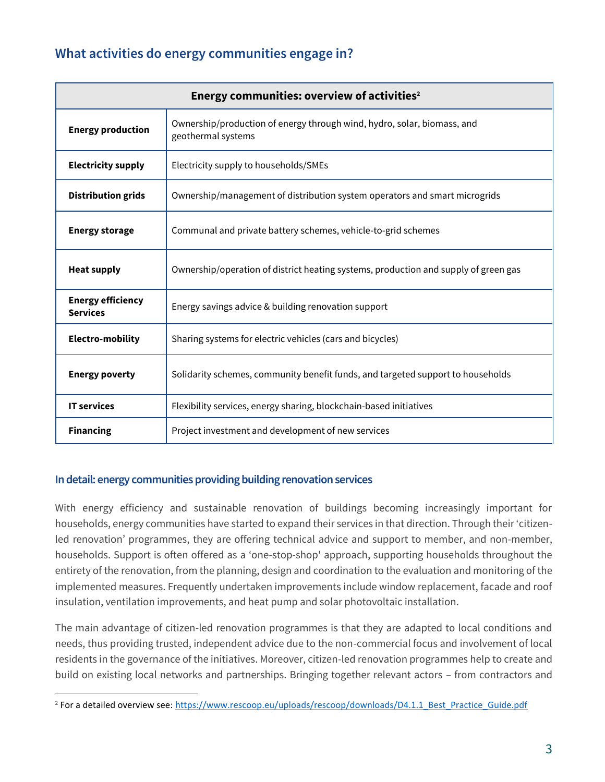### **What activities do energy communities engage in?**

| Energy communities: overview of activities <sup>2</sup> |                                                                                               |  |
|---------------------------------------------------------|-----------------------------------------------------------------------------------------------|--|
| <b>Energy production</b>                                | Ownership/production of energy through wind, hydro, solar, biomass, and<br>geothermal systems |  |
| <b>Electricity supply</b>                               | Electricity supply to households/SMEs                                                         |  |
| <b>Distribution grids</b>                               | Ownership/management of distribution system operators and smart microgrids                    |  |
| <b>Energy storage</b>                                   | Communal and private battery schemes, vehicle-to-grid schemes                                 |  |
| <b>Heat supply</b>                                      | Ownership/operation of district heating systems, production and supply of green gas           |  |
| <b>Energy efficiency</b><br><b>Services</b>             | Energy savings advice & building renovation support                                           |  |
| <b>Electro-mobility</b>                                 | Sharing systems for electric vehicles (cars and bicycles)                                     |  |
| <b>Energy poverty</b>                                   | Solidarity schemes, community benefit funds, and targeted support to households               |  |
| <b>IT services</b>                                      | Flexibility services, energy sharing, blockchain-based initiatives                            |  |
| <b>Financing</b>                                        | Project investment and development of new services                                            |  |

#### **In detail: energy communities providing building renovation services**

With energy efficiency and sustainable renovation of buildings becoming increasingly important for households, energy communities have started to expand their services in that direction. Through their 'citizenled renovation' programmes, they are offering technical advice and support to member, and non-member, households. Support is often offered as a 'one-stop-shop' approach, supporting households throughout the entirety of the renovation, from the planning, design and coordination to the evaluation and monitoring of the implemented measures. Frequently undertaken improvements include window replacement, facade and roof insulation, ventilation improvements, and heat pump and solar photovoltaic installation.

The main advantage of citizen-led renovation programmes is that they are adapted to local conditions and needs, thus providing trusted, independent advice due to the non-commercial focus and involvement of local residents in the governance of the initiatives. Moreover, citizen-led renovation programmes help to create and build on existing local networks and partnerships. Bringing together relevant actors – from contractors and

<sup>&</sup>lt;sup>2</sup> For a detailed overview see[: https://www.rescoop.eu/uploads/rescoop/downloads/D4.1.1\\_Best\\_Practice\\_Guide.pdf](https://www.rescoop.eu/uploads/rescoop/downloads/D4.1.1_Best_Practice_Guide.pdf)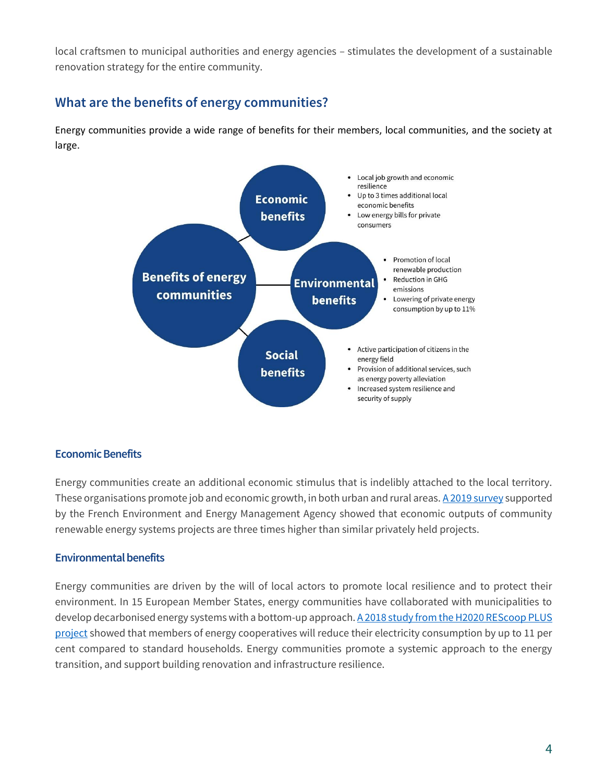local craftsmen to municipal authorities and energy agencies – stimulates the development of a sustainable renovation strategy for the entire community.

### **What are the benefits of energy communities?**

Energy communities provide a wide range of benefits for their members, local communities, and the society at large.



#### **Economic Benefits**

Energy communities create an additional economic stimulus that is indelibly attached to the local territory. These organisations promote job and economic growth, in both urban and rural areas[. A 2019 survey](https://energie-partagee.org/etude-retombees-eco/) supported by the French Environment and Energy Management Agency showed that economic outputs of community renewable energy systems projects are three times higher than similar privately held projects.

#### **Environmental benefits**

Energy communities are driven by the will of local actors to promote local resilience and to protect their environment. In 15 European Member States, energy communities have collaborated with municipalities to develop decarbonised energy systems with a bottom-up approach. A 2018 study from the H2020 REScoop PLUS [project](http://www.rescoop-ee.eu/statistical-research) showed that members of energy cooperatives will reduce their electricity consumption by up to 11 per cent compared to standard households. Energy communities promote a systemic approach to the energy transition, and support building renovation and infrastructure resilience.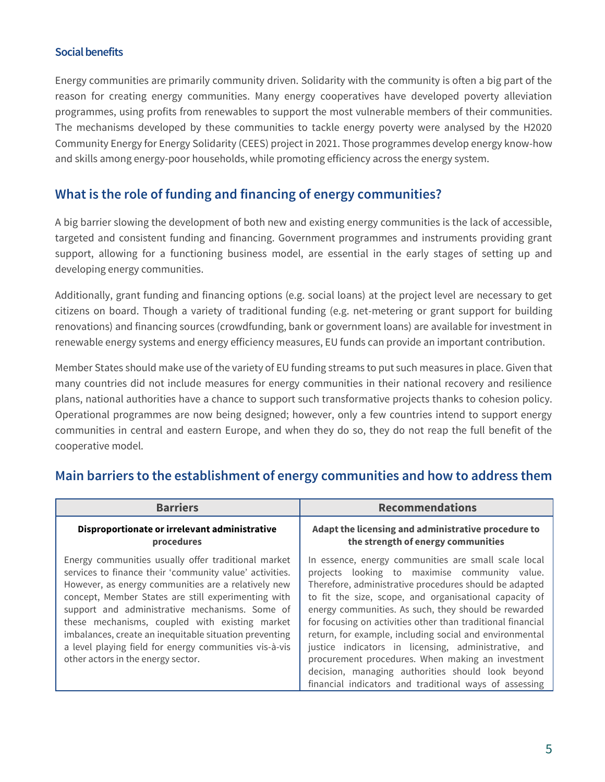#### **Social benefits**

Energy communities are primarily community driven. Solidarity with the community is often a big part of the reason for creating energy communities. Many energy cooperatives have developed poverty alleviation programmes, using profits from renewables to support the most vulnerable members of their communities. The mechanisms developed by these communities to tackle energy poverty were analysed by the H2020 [Community Energy for Energy Solidarity](https://www.energysolidarity.eu/news/) (CEES) project in 2021. Those programmes develop energy know-how and skills among energy-poor households, while promoting efficiency across the energy system.

### **What is the role of funding and financing of energy communities?**

A big barrier slowing the development of both new and existing energy communities is the lack of accessible, targeted and consistent funding and financing. Government programmes and instruments providing grant support, allowing for a functioning business model, are essential in the early stages of setting up and developing energy communities.

Additionally, grant funding and financing options (e.g. social loans) at the project level are necessary to get citizens on board. Though a variety of traditional funding (e.g. net-metering or grant support for building renovations) and financing sources (crowdfunding, bank or government loans) are available for investment in renewable energy systems and energy efficiency measures, EU funds can provide an important contribution.

Member States should make use of the variety of EU funding streams to put such measures in place. Given that many countries did not include measures for energy communities in their national recovery and resilience plans, national authorities have a chance to support such transformative projects thanks to cohesion policy. Operational programmes are now being designed; however, only a few countries intend to support energy communities in central and eastern Europe, and when they do so, they do not reap the full benefit of the cooperative model.

| <b>Barriers</b>                                                                                                                                                                                                                                                                                                                                                                                                                                                                            | <b>Recommendations</b>                                                                                                                                                                                                                                                                                                                                                                                                                                                                                                                                                                                                                  |
|--------------------------------------------------------------------------------------------------------------------------------------------------------------------------------------------------------------------------------------------------------------------------------------------------------------------------------------------------------------------------------------------------------------------------------------------------------------------------------------------|-----------------------------------------------------------------------------------------------------------------------------------------------------------------------------------------------------------------------------------------------------------------------------------------------------------------------------------------------------------------------------------------------------------------------------------------------------------------------------------------------------------------------------------------------------------------------------------------------------------------------------------------|
| Disproportionate or irrelevant administrative<br>procedures                                                                                                                                                                                                                                                                                                                                                                                                                                | Adapt the licensing and administrative procedure to<br>the strength of energy communities                                                                                                                                                                                                                                                                                                                                                                                                                                                                                                                                               |
| Energy communities usually offer traditional market<br>services to finance their 'community value' activities.<br>However, as energy communities are a relatively new<br>concept, Member States are still experimenting with<br>support and administrative mechanisms. Some of<br>these mechanisms, coupled with existing market<br>imbalances, create an inequitable situation preventing<br>a level playing field for energy communities vis-à-vis<br>other actors in the energy sector. | In essence, energy communities are small scale local<br>projects looking to maximise community value.<br>Therefore, administrative procedures should be adapted<br>to fit the size, scope, and organisational capacity of<br>energy communities. As such, they should be rewarded<br>for focusing on activities other than traditional financial<br>return, for example, including social and environmental<br>justice indicators in licensing, administrative, and<br>procurement procedures. When making an investment<br>decision, managing authorities should look beyond<br>financial indicators and traditional ways of assessing |

### **Main barriers to the establishment of energy communities and how to address them**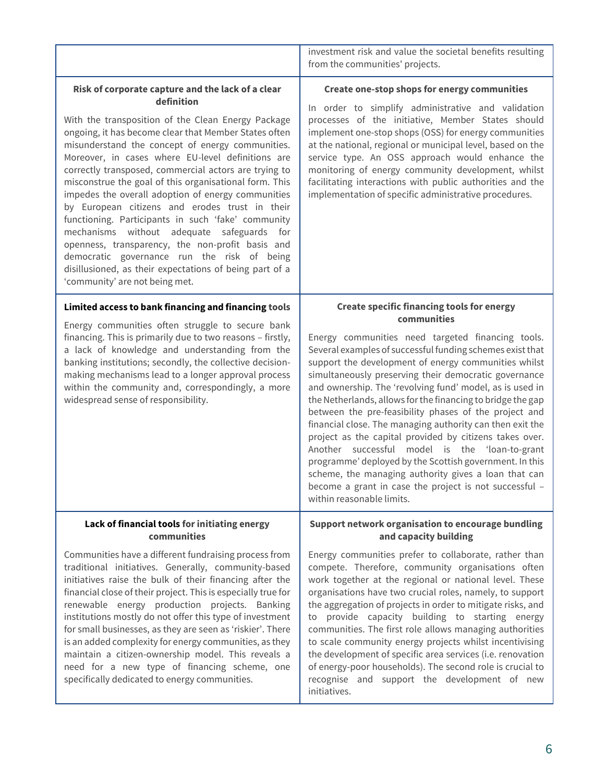|                                                                                                                                                                                                                                                                                                                                                                                                                                                                                                                                                                                                                                                                                                                                                                                                                           | investment risk and value the societal benefits resulting<br>from the communities' projects.                                                                                                                                                                                                                                                                                                                                                                                                                                                                                                                                                                                                                                                                                                            |
|---------------------------------------------------------------------------------------------------------------------------------------------------------------------------------------------------------------------------------------------------------------------------------------------------------------------------------------------------------------------------------------------------------------------------------------------------------------------------------------------------------------------------------------------------------------------------------------------------------------------------------------------------------------------------------------------------------------------------------------------------------------------------------------------------------------------------|---------------------------------------------------------------------------------------------------------------------------------------------------------------------------------------------------------------------------------------------------------------------------------------------------------------------------------------------------------------------------------------------------------------------------------------------------------------------------------------------------------------------------------------------------------------------------------------------------------------------------------------------------------------------------------------------------------------------------------------------------------------------------------------------------------|
| Risk of corporate capture and the lack of a clear<br>definition<br>With the transposition of the Clean Energy Package<br>ongoing, it has become clear that Member States often<br>misunderstand the concept of energy communities.<br>Moreover, in cases where EU-level definitions are<br>correctly transposed, commercial actors are trying to<br>misconstrue the goal of this organisational form. This<br>impedes the overall adoption of energy communities<br>by European citizens and erodes trust in their<br>functioning. Participants in such 'fake' community<br>mechanisms without adequate safeguards<br>for<br>openness, transparency, the non-profit basis and<br>democratic governance run the risk of being<br>disillusioned, as their expectations of being part of a<br>'community' are not being met. | Create one-stop shops for energy communities<br>In order to simplify administrative and validation<br>processes of the initiative, Member States should<br>implement one-stop shops (OSS) for energy communities<br>at the national, regional or municipal level, based on the<br>service type. An OSS approach would enhance the<br>monitoring of energy community development, whilst<br>facilitating interactions with public authorities and the<br>implementation of specific administrative procedures.                                                                                                                                                                                                                                                                                           |
| Limited access to bank financing and financing tools                                                                                                                                                                                                                                                                                                                                                                                                                                                                                                                                                                                                                                                                                                                                                                      | <b>Create specific financing tools for energy</b><br>communities                                                                                                                                                                                                                                                                                                                                                                                                                                                                                                                                                                                                                                                                                                                                        |
| Energy communities often struggle to secure bank<br>financing. This is primarily due to two reasons - firstly,<br>a lack of knowledge and understanding from the<br>banking institutions; secondly, the collective decision-<br>making mechanisms lead to a longer approval process<br>within the community and, correspondingly, a more<br>widespread sense of responsibility.                                                                                                                                                                                                                                                                                                                                                                                                                                           | Energy communities need targeted financing tools.<br>Several examples of successful funding schemes exist that<br>support the development of energy communities whilst<br>simultaneously preserving their democratic governance<br>and ownership. The 'revolving fund' model, as is used in<br>the Netherlands, allows for the financing to bridge the gap<br>between the pre-feasibility phases of the project and<br>financial close. The managing authority can then exit the<br>project as the capital provided by citizens takes over.<br>Another successful model is the 'loan-to-grant<br>programme' deployed by the Scottish government. In this<br>scheme, the managing authority gives a loan that can<br>become a grant in case the project is not successful -<br>within reasonable limits. |
| Lack of financial tools for initiating energy<br>communities                                                                                                                                                                                                                                                                                                                                                                                                                                                                                                                                                                                                                                                                                                                                                              | Support network organisation to encourage bundling<br>and capacity building                                                                                                                                                                                                                                                                                                                                                                                                                                                                                                                                                                                                                                                                                                                             |
| Communities have a different fundraising process from<br>traditional initiatives. Generally, community-based<br>initiatives raise the bulk of their financing after the<br>financial close of their project. This is especially true for<br>renewable energy production projects. Banking<br>institutions mostly do not offer this type of investment                                                                                                                                                                                                                                                                                                                                                                                                                                                                     | Energy communities prefer to collaborate, rather than<br>compete. Therefore, community organisations often<br>work together at the regional or national level. These<br>organisations have two crucial roles, namely, to support<br>the aggregation of projects in order to mitigate risks, and<br>to provide capacity building to starting energy                                                                                                                                                                                                                                                                                                                                                                                                                                                      |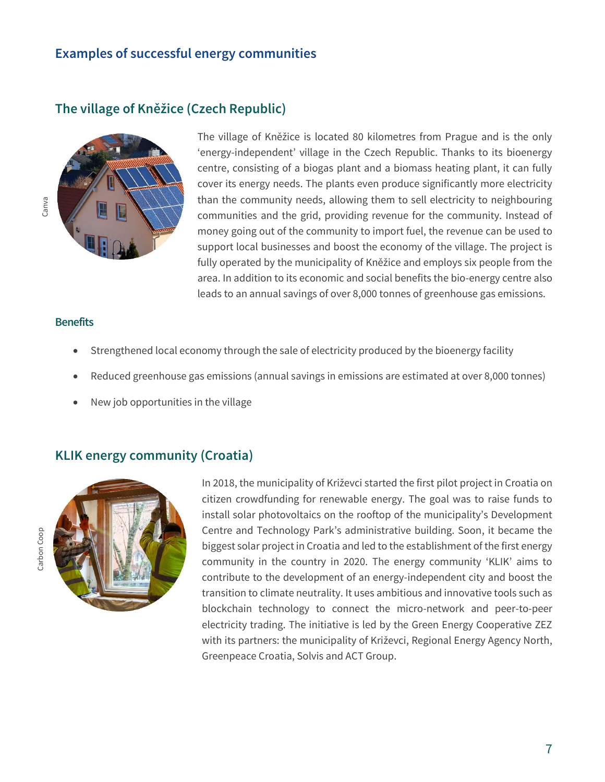### **Examples of successful energy communities**

**The village of Kněžice (Czech Republic)**



The village of Kněžice is located 80 kilometres from Prague and is the only 'energy-independent' village in the Czech Republic. Thanks to its bioenergy centre, consisting of a biogas plant and a biomass heating plant, it can fully cover its energy needs. The plants even produce significantly more electricity than the community needs, allowing them to sell electricity to neighbouring communities and the grid, providing revenue for the community. Instead of money going out of the community to import fuel, the revenue can be used to support local businesses and boost the economy of the village. The project is fully operated by the municipality of Kněžice and employs six people from the area. In addition to its economic and social benefits the bio-energy centre also leads to an annual savings of over 8,000 tonnes of greenhouse gas emissions.

#### **Benefits**

- Strengthened local economy through the sale of electricity produced by the bioenergy facility
- Reduced greenhouse gas emissions (annual savings in emissions are estimated at over 8,000 tonnes)
- New job opportunities in the village

### **KLIK energy community (Croatia)**



In 2018, the municipality of Križevci started the first pilot project in Croatia on citizen crowdfunding for renewable energy. The goal was to raise funds to install solar photovoltaics on the rooftop of the municipality's Development Centre and Technology Park's administrative building. Soon, it became the biggest solar project in Croatia and led to the establishment of the first energy community in the country in 2020. The energy community 'KLIK' aims to contribute to the development of an energy-independent city and boost the transition to climate neutrality. It uses ambitious and innovative tools such as blockchain technology to connect the micro-network and peer-to-peer electricity trading. The initiative is led by the Green Energy Cooperative ZEZ with its partners: the municipality of Križevci, Regional Energy Agency North, Greenpeace Croatia, Solvis and ACT Group.